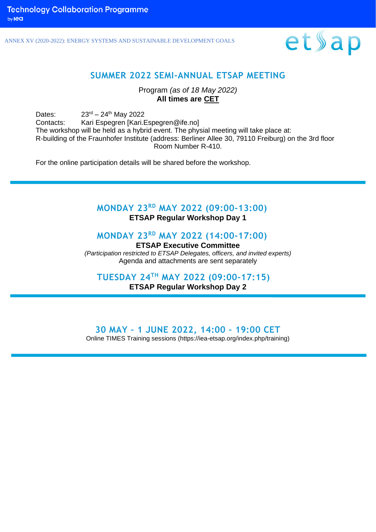ANNEX XV (2020-2022): ENERGY SYSTEMS AND SUSTAINABLE DEVELOPMENT GOALS



### **SUMMER 2022 SEMI-ANNUAL ETSAP MEETING**

Program *(as of 18 May 2022)* **All times are CET**

Dates:  $23^{rd} - 24^{th}$  May 2022 Contacts: Kari Espegren [Kari.Espegren@ife.no] The workshop will be held as a hybrid event. The physial meeting will take place at: R-building of the Fraunhofer Institute (address: Berliner Allee 30, 79110 Freiburg) on the 3rd floor Room Number R-410.

For the online participation details will be shared before the workshop.

## **MONDAY 23 RD MAY 2022 (09:00-13:00)**

**ETSAP Regular Workshop Day 1**

### **MONDAY 23 RD MAY 2022 (14:00-17:00)**

**ETSAP Executive Committee** *(Participation restricted to ETSAP Delegates, officers, and invited experts)* Agenda and attachments are sent separately

**TUESDAY 24TH MAY 2022 (09:00-17:15)**

**ETSAP Regular Workshop Day 2**

### **30 MAY – 1 JUNE 2022, 14:00 – 19:00 CET**

Online TIMES Training sessions (https://iea-etsap.org/index.php/training)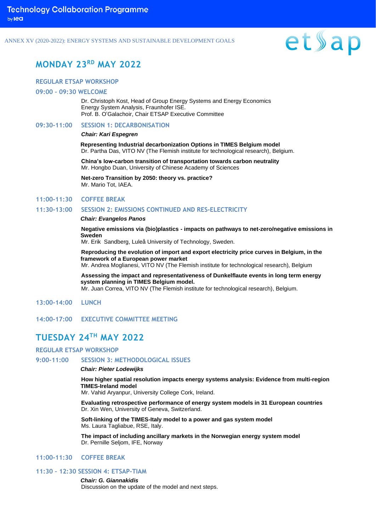ANNEX XV (2020-2022): ENERGY SYSTEMS AND SUSTAINABLE DEVELOPMENT GOALS

# et»ap

### **MONDAY 23 RD MAY 2022**

### **REGULAR ETSAP WORKSHOP**

#### **09:00 – 09:30 WELCOME**

Dr. Christoph Kost, Head of Group Energy Systems and Energy Economics Energy System Analysis, Fraunhofer ISE. Prof. B. O'Galachoir, Chair ETSAP Executive Committee

### **09:30-11:00 SESSION 1: DECARBONISATION**

### *Chair: Kari Espegren*

**Representing Industrial decarbonization Options in TIMES Belgium model** Dr. Partha Das, VITO NV (The Flemish institute for technological research), Belgium.

**China's low-carbon transition of transportation towards carbon neutrality** Mr. Hongbo Duan, University of Chinese Academy of Sciences

**Net-zero Transition by 2050: theory vs. practice?** Mr. Mario Tot, IAEA.

### **11:00-11:30 COFFEE BREAK**

### **11:30-13:00 SESSION 2: EMISSIONS CONTINUED AND RES-ELECTRICITY**

### *Chair: Evangelos Panos*

**Negative emissions via (bio)plastics - impacts on pathways to net-zero/negative emissions in Sweden**

Mr. Erik Sandberg, Luleå University of Technology, Sweden.

**Reproducing the evolution of import and export electricity price curves in Belgium, in the framework of a European power market**

Mr. Andrea Moglianesi, VITO NV (The Flemish institute for technological research), Belgium

**Assessing the impact and representativeness of Dunkelflaute events in long term energy system planning in TIMES Belgium model.** Mr. Juan Correa, VITO NV (The Flemish institute for technological research), Belgium.

**13:00-14:00 LUNCH**

**14:00-17:00 EXECUTIVE COMMITTEE MEETING**

### **TUESDAY 24TH MAY 2022**

### **REGULAR ETSAP WORKSHOP**

**9:00-11:00 SESSION 3: METHODOLOGICAL ISSUES**

### *Chair: Pieter Lodewijks*

**How higher spatial resolution impacts energy systems analysis: Evidence from multi-region TIMES-Ireland model**

Mr. Vahid Aryanpur, University College Cork, Ireland.

**Evaluating retrospective performance of energy system models in 31 European countries** Dr. Xin Wen, University of Geneva, Switzerland.

**Soft-linking of the TIMES-Italy model to a power and gas system model** Ms. Laura Tagliabue, RSE, Italy.

**The impact of including ancillary markets in the Norwegian energy system model** Dr. Pernille Seljom, IFE, Norway

### **11:00-11:30 COFFEE BREAK**

### **11:30 – 12:30 SESSION 4: ETSAP-TIAM**

*Chair: G. Giannakidis* Discussion on the update of the model and next steps.